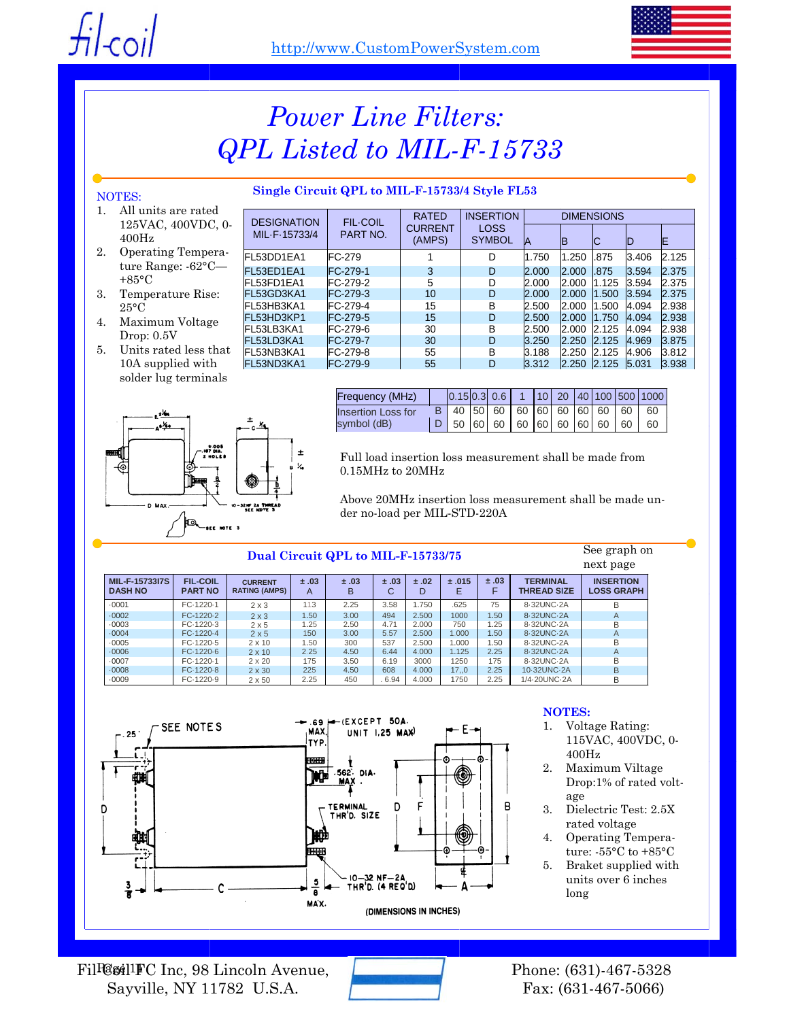

## *Power Line Filters: QPL Listed to MIL-F-15733*

### **Single Circuit QPL to MIL-F-15733/4 Style FL53**

#### NOTES:

- 1. All units are rated 125VAC, 400VDC, 0- 400Hz
- 2. Operating Temperature Range: -62°C— +85°C
- 3. Temperature Rise: 25°C
- 4. Maximum Voltage Drop: 0.5V
- 5. Units rated less that 10A supplied with solder lug terminals



| <b>DESIGNATION</b><br>MIL-F-15733/4 | <b>FIL-COIL</b>  | <b>RATED</b>             | <b>INSERTION</b>             | <b>DIMENSIONS</b> |              |       |       |       |
|-------------------------------------|------------------|--------------------------|------------------------------|-------------------|--------------|-------|-------|-------|
|                                     | PART NO.         | <b>CURRENT</b><br>(AMPS) | <b>LOSS</b><br><b>SYMBOL</b> | IA                | IB           | IC    |       | E     |
| FL53DD1EA1                          | <b>FC-279</b>    |                          | D                            | 1.750             | 1.250        | .875  | 3.406 | 2.125 |
| FL53ED1EA1                          | FC-279-1         | 3                        | D                            | 2.000             | 2.000        | .875  | 3.594 | 2.375 |
| FI 53FD1FA1                         | FC-279-2         | 5                        | D                            | 2.000             | 12.000       | 1.125 | 3.594 | 2.375 |
| FL53GD3KA1                          | FC-279-3         | 10                       | D                            | 2.000             | 2.000        | 1.500 | 3.594 | 2.375 |
| FL53HB3KA1                          | FC-279-4         | 15                       | B                            | 2.500             | 12.000       | 1.500 | 4.094 | 2.938 |
| FL53HD3KP1                          | <b>FC-279-5</b>  | 15                       | D                            | 2.500             | 12.000       | 1.750 | 4.094 | 2.938 |
| FL53LB3KA1                          | FC-279-6         | 30                       | B                            | 2.500             | <b>2.000</b> | 2.125 | 4.094 | 2.938 |
| FL53LD3KA1                          | <b>IFC-279-7</b> | 30                       | D                            | 3.250             | 2.250        | 2.125 | 4.969 | 3.875 |
| FL53NB3KA1                          | FC-279-8         | 55                       | B                            | 3.188             | 12.250       | 2.125 | 4.906 | 3.812 |
| FL53ND3KA1                          | FC-279-9         | 55                       | D                            | 3.312             | 2.250        | 2.125 | 5.031 | 3.938 |

| Frequency (MHz)    |  |  |  |  |  |                                      | $\vert 0.15 \vert 0.3 \vert 0.6 \vert 1 \vert 10 \vert 20 \vert 40 \vert 100 \vert 500 \vert 1000 \vert$ |
|--------------------|--|--|--|--|--|--------------------------------------|----------------------------------------------------------------------------------------------------------|
| Insertion Loss for |  |  |  |  |  | B 40 50 60 60 60 60 60 60 60 60      |                                                                                                          |
| symbol (dB)        |  |  |  |  |  | $D$ 50 60 60 60 60 60 60 60 60 60 60 |                                                                                                          |

Full load insertion loss measurement shall be made from 0.15MHz to 20MHz

Above 20MHz insertion loss measurement shall be made under no-load per MIL-STD-220A

#### **Dual Circuit QPL to MIL-F-15733/75**

next page **MIL-F-15733I7S DASH NO FIL-COIL PART NO CURRENT RATING (AMPS) ± .03**  A **± .03**  B **± .03**  C **± .02**  D **± .015**  E **± .03**  F **TERMINAL THREAD SIZE INSERTION LOSS GRAPH**  ·0001 FC·1220·1 2 x 3 113 2.25 3.58 1.750 .625 75 8·32UNC·2A B ·0002 FC-1220·2 2 x 3 1.50 3.00 494 2.500 1000 1.50 8·32UNC·2A A ·0003 FC·1220·3 2 x 5 1.25 2.50 4.71 2.000 750 1.25 8·32UNC·2A B ·0004 FC·1220·4 2 x 5 150 3.00 5.57 2.500 1.000 1.50 8·32UNC·2A A ·0005 FC·1220·5 2 x 10 1.50 300 537 2.500 1.000 1.50 8·32UNC-2A B ·0006 FC·1220·6 2 x 10 2.25 4.50 6.44 4.000 1.125 2.25 8·32UNC·2A A ·0007 FC·1220·1 2 x 20 175 3.50 6.19 3000 1250 175 8·32UNC·2A B ·0008 FC·1220·8 2 x 30 225 4.50 608 4.000 17,,0 2.25 10·32UNC·2A B ·0009 FC·1220·9 2 x 50 2.25 450 . 6.94 4.000 1750 2.25 1/4·20UNC·2A B



#### **NOTES:**

1. Voltage Rating: 115VAC, 400VDC, 0- 400Hz

See graph on

- 2. Maximum Viltage Drop:1% of rated voltage
- 3. Dielectric Test: 2.5X rated voltage
- 4. Operating Temperature: -55°C to +85°C
- 5. Braket supplied with units over 6 inches long

Fil<sup>Q</sup>gil<sup>1</sup>FC Inc, 98 Lincoln Avenue, Sayville, NY 11782 U.S.A.



Phone: (631)-467-5328 Fax: (631-467-5066)